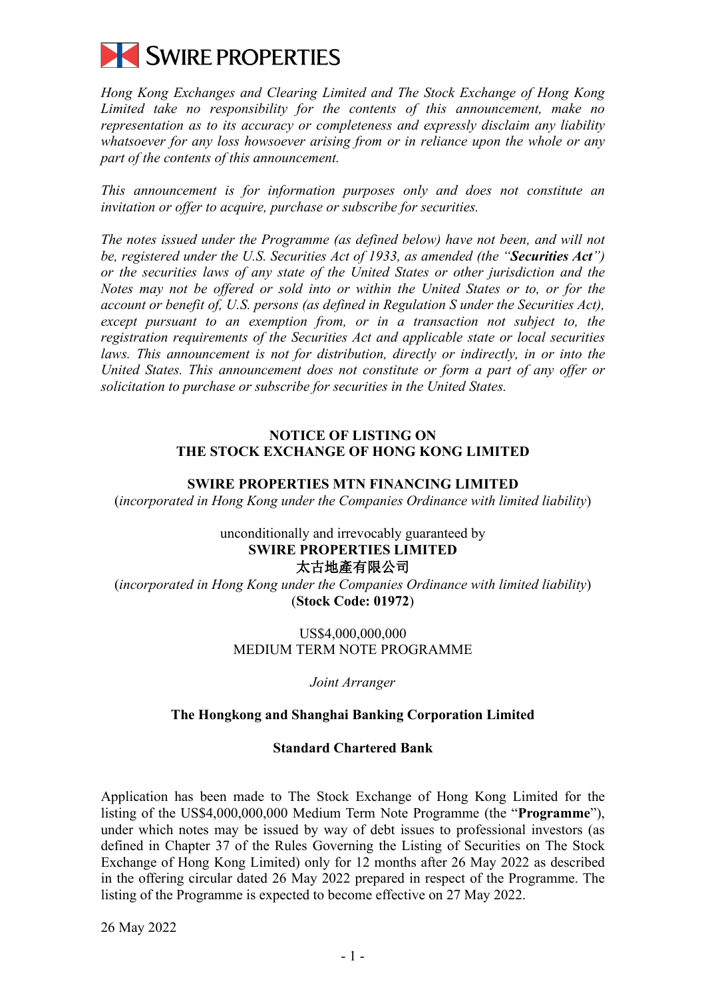

*Hong Kong Exchanges and Clearing Limited and The Stock Exchange of Hong Kong Limited take no responsibility for the contents of this announcement, make no representation as to its accuracy or completeness and expressly disclaim any liability whatsoever for any loss howsoever arising from or in reliance upon the whole or any part of the contents of this announcement.*

*This announcement is for information purposes only and does not constitute an invitation or offer to acquire, purchase or subscribe for securities.*

*The notes issued under the Programme (as defined below) have not been, and will not be, registered under the U.S. Securities Act of 1933, as amended (the "Securities Act") or the securities laws of any state of the United States or other jurisdiction and the Notes may not be offered or sold into or within the United States or to, or for the account or benefit of, U.S. persons (as defined in Regulation S under the Securities Act), except pursuant to an exemption from, or in a transaction not subject to, the registration requirements of the Securities Act and applicable state or local securities*  laws. This announcement is not for distribution, directly or indirectly, in or into the *United States. This announcement does not constitute or form a part of any offer or solicitation to purchase or subscribe for securities in the United States.*

# **NOTICE OF LISTING ON THE STOCK EXCHANGE OF HONG KONG LIMITED**

# **SWIRE PROPERTIES MTN FINANCING LIMITED**

(*incorporated in Hong Kong under the Companies Ordinance with limited liability*)

# unconditionally and irrevocably guaranteed by **SWIRE PROPERTIES LIMITED** 太古地產有限公司

(*incorporated in Hong Kong under the Companies Ordinance with limited liability*) (**Stock Code: 01972**)

> US\$4,000,000,000 MEDIUM TERM NOTE PROGRAMME

> > *Joint Arranger*

# **The Hongkong and Shanghai Banking Corporation Limited**

# **Standard Chartered Bank**

Application has been made to The Stock Exchange of Hong Kong Limited for the listing of the US\$4,000,000,000 Medium Term Note Programme (the "**Programme**"), under which notes may be issued by way of debt issues to professional investors (as defined in Chapter 37 of the Rules Governing the Listing of Securities on The Stock Exchange of Hong Kong Limited) only for 12 months after 26 May 2022 as described in the offering circular dated 26 May 2022 prepared in respect of the Programme. The listing of the Programme is expected to become effective on 27 May 2022.

26 May 2022